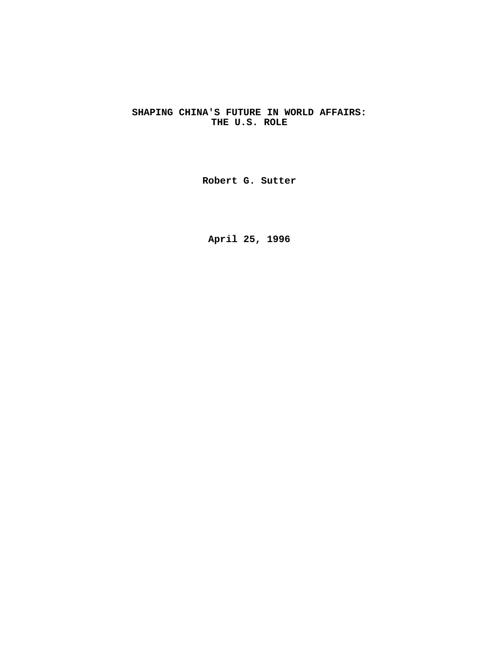# **SHAPING CHINA'S FUTURE IN WORLD AFFAIRS: THE U.S. ROLE**

**Robert G. Sutter**

**April 25, 1996**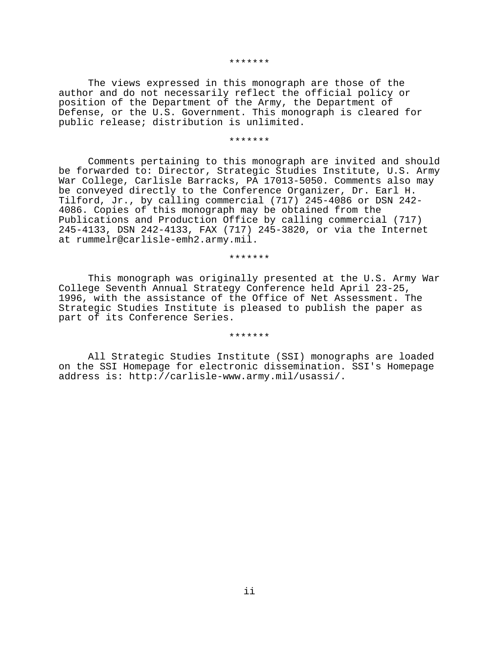#### \*\*\*\*\*\*\*

The views expressed in this monograph are those of the author and do not necessarily reflect the official policy or position of the Department of the Army, the Department of Defense, or the U.S. Government. This monograph is cleared for public release; distribution is unlimited.

#### \*\*\*\*\*\*\*

Comments pertaining to this monograph are invited and should be forwarded to: Director, Strategic Studies Institute, U.S. Army War College, Carlisle Barracks, PA 17013-5050. Comments also may be conveyed directly to the Conference Organizer, Dr. Earl H. Tilford, Jr., by calling commercial (717) 245-4086 or DSN 242- 4086. Copies of this monograph may be obtained from the Publications and Production Office by calling commercial (717) 245-4133, DSN 242-4133, FAX (717) 245-3820, or via the Internet at rummelr@carlisle-emh2.army.mil.

#### \*\*\*\*\*\*\*

This monograph was originally presented at the U.S. Army War College Seventh Annual Strategy Conference held April 23-25, 1996, with the assistance of the Office of Net Assessment. The Strategic Studies Institute is pleased to publish the paper as part of its Conference Series.

## \*\*\*\*\*\*\*

All Strategic Studies Institute (SSI) monographs are loaded on the SSI Homepage for electronic dissemination. SSI's Homepage address is: http://carlisle-www.army.mil/usassi/.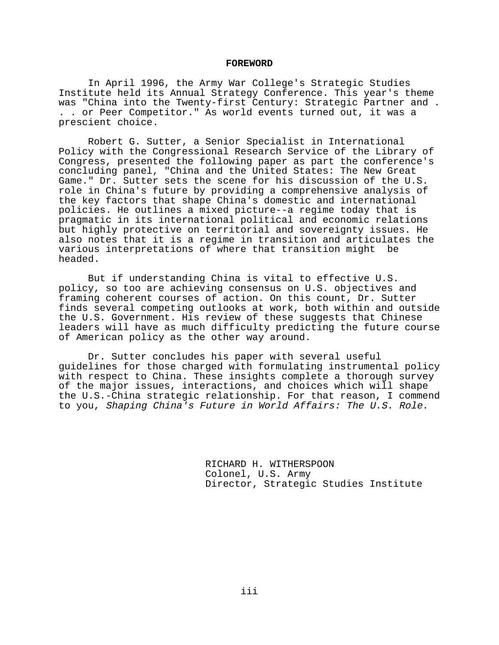#### **FOREWORD**

In April 1996, the Army War College's Strategic Studies Institute held its Annual Strategy Conference. This year's theme was "China into the Twenty-first Century: Strategic Partner and . . . or Peer Competitor." As world events turned out, it was a prescient choice.

Robert G. Sutter, a Senior Specialist in International Policy with the Congressional Research Service of the Library of Congress, presented the following paper as part the conference's concluding panel, "China and the United States: The New Great Game." Dr. Sutter sets the scene for his discussion of the U.S. role in China's future by providing a comprehensive analysis of the key factors that shape China's domestic and international policies. He outlines a mixed picture--a regime today that is pragmatic in its international political and economic relations but highly protective on territorial and sovereignty issues. He also notes that it is a regime in transition and articulates the various interpretations of where that transition might be headed.

But if understanding China is vital to effective U.S. policy, so too are achieving consensus on U.S. objectives and framing coherent courses of action. On this count, Dr. Sutter finds several competing outlooks at work, both within and outside the U.S. Government. His review of these suggests that Chinese leaders will have as much difficulty predicting the future course of American policy as the other way around.

Dr. Sutter concludes his paper with several useful guidelines for those charged with formulating instrumental policy with respect to China. These insights complete a thorough survey of the major issues, interactions, and choices which will shape the U.S.-China strategic relationship. For that reason, I commend to you, Shaping China's Future in World Affairs: The U.S. Role.

> RICHARD H. WITHERSPOON Colonel, U.S. Army Director, Strategic Studies Institute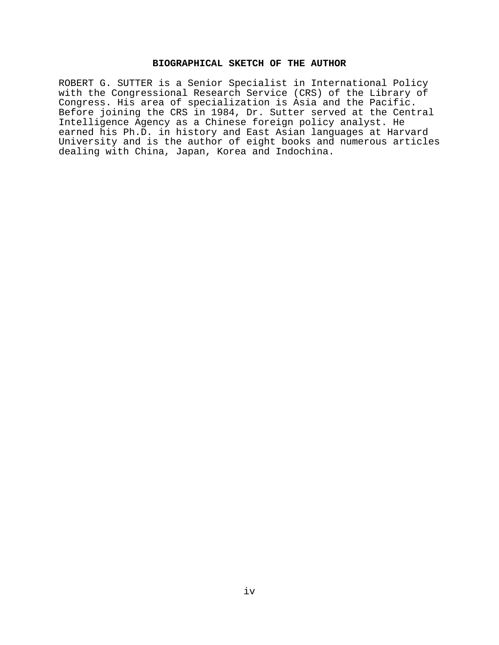# **BIOGRAPHICAL SKETCH OF THE AUTHOR**

ROBERT G. SUTTER is a Senior Specialist in International Policy with the Congressional Research Service (CRS) of the Library of Congress. His area of specialization is Asia and the Pacific. Before joining the CRS in 1984, Dr. Sutter served at the Central Intelligence Agency as a Chinese foreign policy analyst. He earned his Ph.D. in history and East Asian languages at Harvard University and is the author of eight books and numerous articles dealing with China, Japan, Korea and Indochina.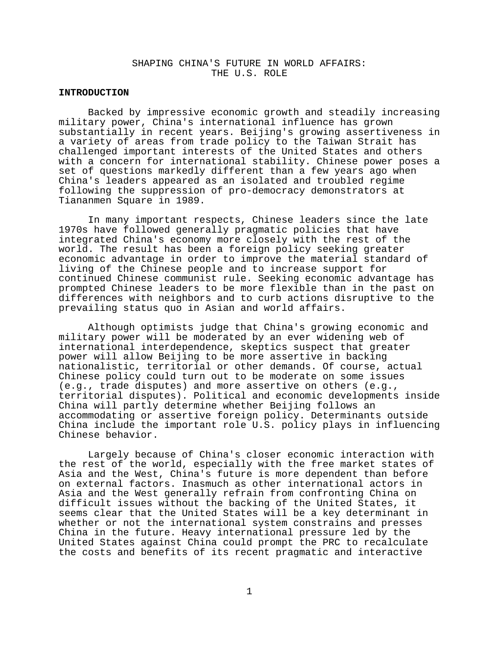# SHAPING CHINA'S FUTURE IN WORLD AFFAIRS: THE U.S. ROLE

## **INTRODUCTION**

Backed by impressive economic growth and steadily increasing military power, China's international influence has grown substantially in recent years. Beijing's growing assertiveness in a variety of areas from trade policy to the Taiwan Strait has challenged important interests of the United States and others with a concern for international stability. Chinese power poses a set of questions markedly different than a few years ago when China's leaders appeared as an isolated and troubled regime following the suppression of pro-democracy demonstrators at Tiananmen Square in 1989.

In many important respects, Chinese leaders since the late 1970s have followed generally pragmatic policies that have integrated China's economy more closely with the rest of the world. The result has been a foreign policy seeking greater economic advantage in order to improve the material standard of living of the Chinese people and to increase support for continued Chinese communist rule. Seeking economic advantage has prompted Chinese leaders to be more flexible than in the past on differences with neighbors and to curb actions disruptive to the prevailing status quo in Asian and world affairs.

Although optimists judge that China's growing economic and military power will be moderated by an ever widening web of international interdependence, skeptics suspect that greater power will allow Beijing to be more assertive in backing nationalistic, territorial or other demands. Of course, actual Chinese policy could turn out to be moderate on some issues (e.g., trade disputes) and more assertive on others (e.g., territorial disputes). Political and economic developments inside China will partly determine whether Beijing follows an accommodating or assertive foreign policy. Determinants outside China include the important role U.S. policy plays in influencing Chinese behavior.

Largely because of China's closer economic interaction with the rest of the world, especially with the free market states of Asia and the West, China's future is more dependent than before on external factors. Inasmuch as other international actors in Asia and the West generally refrain from confronting China on difficult issues without the backing of the United States, it seems clear that the United States will be a key determinant in whether or not the international system constrains and presses China in the future. Heavy international pressure led by the United States against China could prompt the PRC to recalculate the costs and benefits of its recent pragmatic and interactive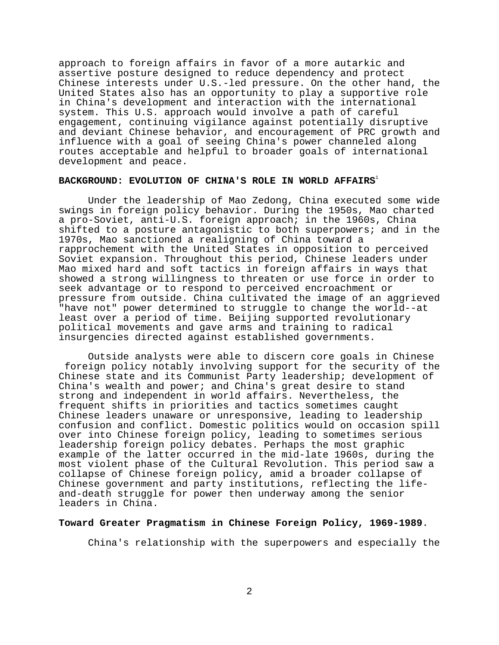approach to foreign affairs in favor of a more autarkic and assertive posture designed to reduce dependency and protect Chinese interests under U.S.-led pressure. On the other hand, the United States also has an opportunity to play a supportive role in China's development and interaction with the international system. This U.S. approach would involve a path of careful engagement, continuing vigilance against potentially disruptive and deviant Chinese behavior, and encouragement of PRC growth and influence with a goal of seeing China's power channeled along routes acceptable and helpful to broader goals of international development and peace.

# **BACKGROUND: EVOLUTION OF CHINA'S ROLE IN WORLD AFFAIRS**<sup>1</sup>

Under the leadership of Mao Zedong, China executed some wide swings in foreign policy behavior. During the 1950s, Mao charted a pro-Soviet, anti-U.S. foreign approach; in the 1960s, China shifted to a posture antagonistic to both superpowers; and in the 1970s, Mao sanctioned a realigning of China toward a rapprochement with the United States in opposition to perceived Soviet expansion. Throughout this period, Chinese leaders under Mao mixed hard and soft tactics in foreign affairs in ways that showed a strong willingness to threaten or use force in order to seek advantage or to respond to perceived encroachment or pressure from outside. China cultivated the image of an aggrieved "have not" power determined to struggle to change the world--at least over a period of time. Beijing supported revolutionary political movements and gave arms and training to radical insurgencies directed against established governments.

Outside analysts were able to discern core goals in Chinese foreign policy notably involving support for the security of the Chinese state and its Communist Party leadership; development of China's wealth and power; and China's great desire to stand strong and independent in world affairs. Nevertheless, the frequent shifts in priorities and tactics sometimes caught Chinese leaders unaware or unresponsive, leading to leadership confusion and conflict. Domestic politics would on occasion spill over into Chinese foreign policy, leading to sometimes serious leadership foreign policy debates. Perhaps the most graphic example of the latter occurred in the mid-late 1960s, during the most violent phase of the Cultural Revolution. This period saw a collapse of Chinese foreign policy, amid a broader collapse of Chinese government and party institutions, reflecting the lifeand-death struggle for power then underway among the senior leaders in China.

# **Toward Greater Pragmatism in Chinese Foreign Policy, 1969-1989**.

China's relationship with the superpowers and especially the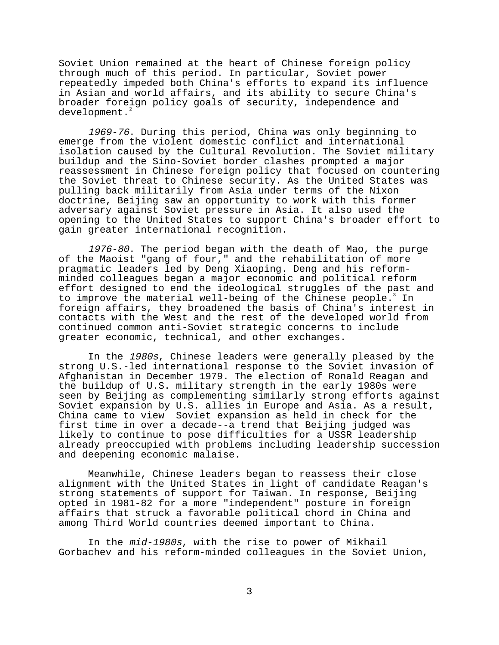Soviet Union remained at the heart of Chinese foreign policy through much of this period. In particular, Soviet power repeatedly impeded both China's efforts to expand its influence in Asian and world affairs, and its ability to secure China's broader foreign policy goals of security, independence and development.<sup>2</sup>

1969-76. During this period, China was only beginning to emerge from the violent domestic conflict and international isolation caused by the Cultural Revolution. The Soviet military buildup and the Sino-Soviet border clashes prompted a major reassessment in Chinese foreign policy that focused on countering the Soviet threat to Chinese security. As the United States was pulling back militarily from Asia under terms of the Nixon doctrine, Beijing saw an opportunity to work with this former adversary against Soviet pressure in Asia. It also used the opening to the United States to support China's broader effort to gain greater international recognition.

1976-80. The period began with the death of Mao, the purge of the Maoist "gang of four," and the rehabilitation of more pragmatic leaders led by Deng Xiaoping. Deng and his reformminded colleagues began a major economic and political reform effort designed to end the ideological struggles of the past and to improve the material well-being of the Chinese people.<sup>3</sup> In foreign affairs, they broadened the basis of China's interest in contacts with the West and the rest of the developed world from continued common anti-Soviet strategic concerns to include greater economic, technical, and other exchanges.

In the 1980s, Chinese leaders were generally pleased by the strong U.S.-led international response to the Soviet invasion of Afghanistan in December 1979. The election of Ronald Reagan and the buildup of U.S. military strength in the early 1980s were seen by Beijing as complementing similarly strong efforts against Soviet expansion by U.S. allies in Europe and Asia. As a result, China came to view Soviet expansion as held in check for the first time in over a decade--a trend that Beijing judged was likely to continue to pose difficulties for a USSR leadership already preoccupied with problems including leadership succession and deepening economic malaise.

Meanwhile, Chinese leaders began to reassess their close alignment with the United States in light of candidate Reagan's strong statements of support for Taiwan. In response, Beijing opted in 1981-82 for a more "independent" posture in foreign affairs that struck a favorable political chord in China and among Third World countries deemed important to China.

In the mid-1980s, with the rise to power of Mikhail Gorbachev and his reform-minded colleagues in the Soviet Union,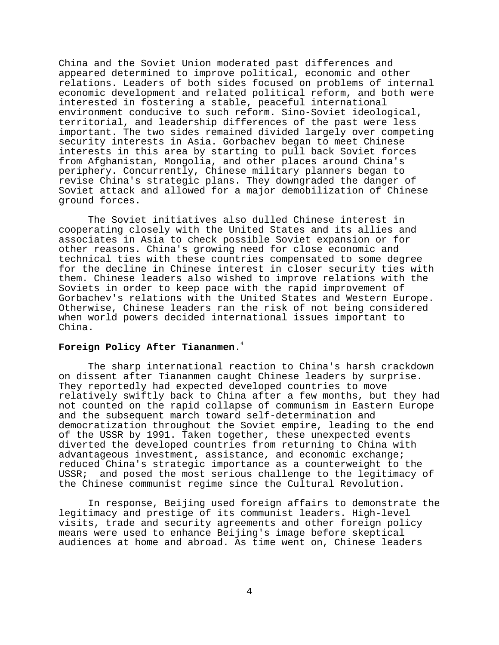China and the Soviet Union moderated past differences and appeared determined to improve political, economic and other relations. Leaders of both sides focused on problems of internal economic development and related political reform, and both were interested in fostering a stable, peaceful international environment conducive to such reform. Sino-Soviet ideological, territorial, and leadership differences of the past were less important. The two sides remained divided largely over competing security interests in Asia. Gorbachev began to meet Chinese interests in this area by starting to pull back Soviet forces from Afghanistan, Mongolia, and other places around China's periphery. Concurrently, Chinese military planners began to revise China's strategic plans. They downgraded the danger of Soviet attack and allowed for a major demobilization of Chinese ground forces.

The Soviet initiatives also dulled Chinese interest in cooperating closely with the United States and its allies and associates in Asia to check possible Soviet expansion or for other reasons. China's growing need for close economic and technical ties with these countries compensated to some degree for the decline in Chinese interest in closer security ties with them. Chinese leaders also wished to improve relations with the Soviets in order to keep pace with the rapid improvement of Gorbachev's relations with the United States and Western Europe. Otherwise, Chinese leaders ran the risk of not being considered when world powers decided international issues important to China.

# **Foreign Policy After Tiananmen**.<sup>4</sup>

The sharp international reaction to China's harsh crackdown on dissent after Tiananmen caught Chinese leaders by surprise. They reportedly had expected developed countries to move relatively swiftly back to China after a few months, but they had not counted on the rapid collapse of communism in Eastern Europe and the subsequent march toward self-determination and democratization throughout the Soviet empire, leading to the end of the USSR by 1991. Taken together, these unexpected events diverted the developed countries from returning to China with advantageous investment, assistance, and economic exchange; reduced China's strategic importance as a counterweight to the USSR; and posed the most serious challenge to the legitimacy of the Chinese communist regime since the Cultural Revolution.

In response, Beijing used foreign affairs to demonstrate the legitimacy and prestige of its communist leaders. High-level visits, trade and security agreements and other foreign policy means were used to enhance Beijing's image before skeptical audiences at home and abroad. As time went on, Chinese leaders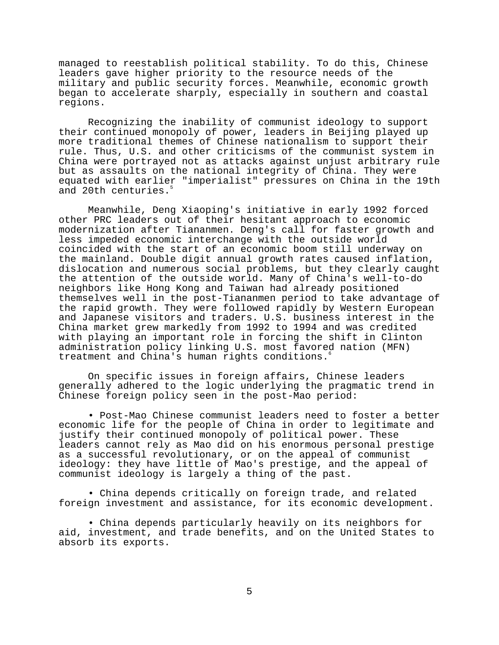managed to reestablish political stability. To do this, Chinese leaders gave higher priority to the resource needs of the military and public security forces. Meanwhile, economic growth began to accelerate sharply, especially in southern and coastal regions.

Recognizing the inability of communist ideology to support their continued monopoly of power, leaders in Beijing played up more traditional themes of Chinese nationalism to support their rule. Thus, U.S. and other criticisms of the communist system in China were portrayed not as attacks against unjust arbitrary rule but as assaults on the national integrity of China. They were equated with earlier "imperialist" pressures on China in the 19th and 20th centuries.<sup>5</sup>

Meanwhile, Deng Xiaoping's initiative in early 1992 forced other PRC leaders out of their hesitant approach to economic modernization after Tiananmen. Deng's call for faster growth and less impeded economic interchange with the outside world coincided with the start of an economic boom still underway on the mainland. Double digit annual growth rates caused inflation, dislocation and numerous social problems, but they clearly caught the attention of the outside world. Many of China's well-to-do neighbors like Hong Kong and Taiwan had already positioned themselves well in the post-Tiananmen period to take advantage of the rapid growth. They were followed rapidly by Western European and Japanese visitors and traders. U.S. business interest in the China market grew markedly from 1992 to 1994 and was credited with playing an important role in forcing the shift in Clinton administration policy linking U.S. most favored nation (MFN) treatment and China's human rights conditions.<sup>6</sup>

On specific issues in foreign affairs, Chinese leaders generally adhered to the logic underlying the pragmatic trend in Chinese foreign policy seen in the post-Mao period:

• Post-Mao Chinese communist leaders need to foster a better economic life for the people of China in order to legitimate and justify their continued monopoly of political power. These leaders cannot rely as Mao did on his enormous personal prestige as a successful revolutionary, or on the appeal of communist ideology: they have little of Mao's prestige, and the appeal of communist ideology is largely a thing of the past.

• China depends critically on foreign trade, and related foreign investment and assistance, for its economic development.

• China depends particularly heavily on its neighbors for aid, investment, and trade benefits, and on the United States to absorb its exports.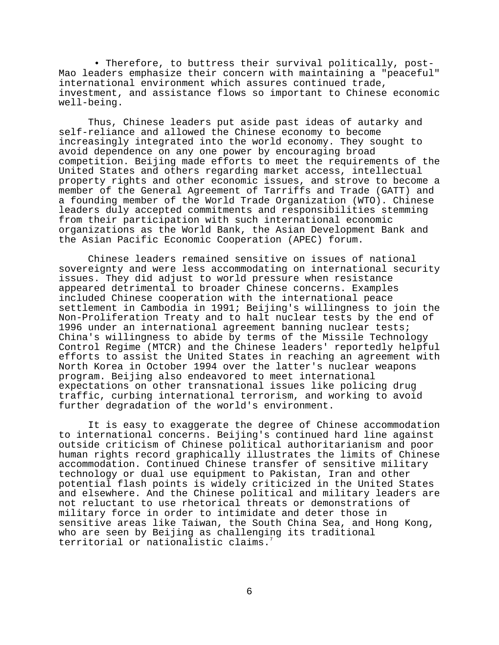• Therefore, to buttress their survival politically, post-Mao leaders emphasize their concern with maintaining a "peaceful" international environment which assures continued trade, investment, and assistance flows so important to Chinese economic well-being.

Thus, Chinese leaders put aside past ideas of autarky and self-reliance and allowed the Chinese economy to become increasingly integrated into the world economy. They sought to avoid dependence on any one power by encouraging broad competition. Beijing made efforts to meet the requirements of the United States and others regarding market access, intellectual property rights and other economic issues, and strove to become a member of the General Agreement of Tarriffs and Trade (GATT) and a founding member of the World Trade Organization (WTO). Chinese leaders duly accepted commitments and responsibilities stemming from their participation with such international economic organizations as the World Bank, the Asian Development Bank and the Asian Pacific Economic Cooperation (APEC) forum.

Chinese leaders remained sensitive on issues of national sovereignty and were less accommodating on international security issues. They did adjust to world pressure when resistance appeared detrimental to broader Chinese concerns. Examples included Chinese cooperation with the international peace settlement in Cambodia in 1991; Beijing's willingness to join the Non-Proliferation Treaty and to halt nuclear tests by the end of 1996 under an international agreement banning nuclear tests; China's willingness to abide by terms of the Missile Technology Control Regime (MTCR) and the Chinese leaders' reportedly helpful efforts to assist the United States in reaching an agreement with North Korea in October 1994 over the latter's nuclear weapons program. Beijing also endeavored to meet international expectations on other transnational issues like policing drug traffic, curbing international terrorism, and working to avoid further degradation of the world's environment.

It is easy to exaggerate the degree of Chinese accommodation to international concerns. Beijing's continued hard line against outside criticism of Chinese political authoritarianism and poor human rights record graphically illustrates the limits of Chinese accommodation. Continued Chinese transfer of sensitive military technology or dual use equipment to Pakistan, Iran and other potential flash points is widely criticized in the United States and elsewhere. And the Chinese political and military leaders are not reluctant to use rhetorical threats or demonstrations of military force in order to intimidate and deter those in sensitive areas like Taiwan, the South China Sea, and Hong Kong, who are seen by Beijing as challenging its traditional territorial or nationalistic claims.<sup>7</sup>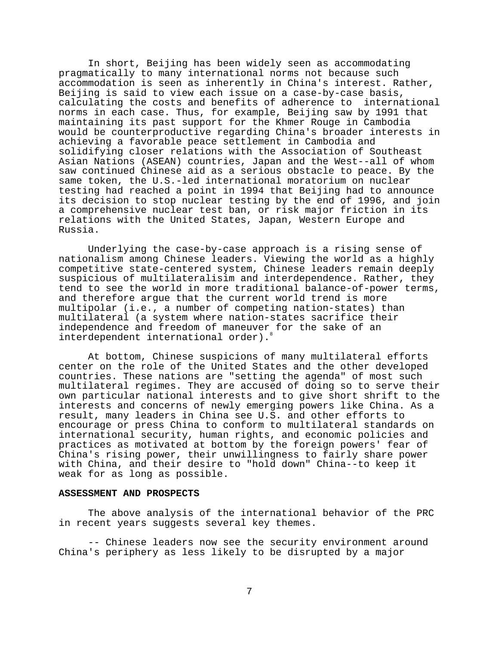In short, Beijing has been widely seen as accommodating pragmatically to many international norms not because such accommodation is seen as inherently in China's interest. Rather, Beijing is said to view each issue on a case-by-case basis, calculating the costs and benefits of adherence to international norms in each case. Thus, for example, Beijing saw by 1991 that maintaining its past support for the Khmer Rouge in Cambodia would be counterproductive regarding China's broader interests in achieving a favorable peace settlement in Cambodia and solidifying closer relations with the Association of Southeast Asian Nations (ASEAN) countries, Japan and the West--all of whom saw continued Chinese aid as a serious obstacle to peace. By the same token, the U.S.-led international moratorium on nuclear testing had reached a point in 1994 that Beijing had to announce its decision to stop nuclear testing by the end of 1996, and join a comprehensive nuclear test ban, or risk major friction in its relations with the United States, Japan, Western Europe and Russia.

Underlying the case-by-case approach is a rising sense of nationalism among Chinese leaders. Viewing the world as a highly competitive state-centered system, Chinese leaders remain deeply suspicious of multilateralisim and interdependence. Rather, they tend to see the world in more traditional balance-of-power terms, and therefore argue that the current world trend is more multipolar (i.e., a number of competing nation-states) than multilateral (a system where nation-states sacrifice their independence and freedom of maneuver for the sake of an interdependent international order).

At bottom, Chinese suspicions of many multilateral efforts center on the role of the United States and the other developed countries. These nations are "setting the agenda" of most such multilateral regimes. They are accused of doing so to serve their own particular national interests and to give short shrift to the interests and concerns of newly emerging powers like China. As a result, many leaders in China see U.S. and other efforts to encourage or press China to conform to multilateral standards on international security, human rights, and economic policies and practices as motivated at bottom by the foreign powers' fear of China's rising power, their unwillingness to fairly share power with China, and their desire to "hold down" China--to keep it weak for as long as possible.

## **ASSESSMENT AND PROSPECTS**

The above analysis of the international behavior of the PRC in recent years suggests several key themes.

-- Chinese leaders now see the security environment around China's periphery as less likely to be disrupted by a major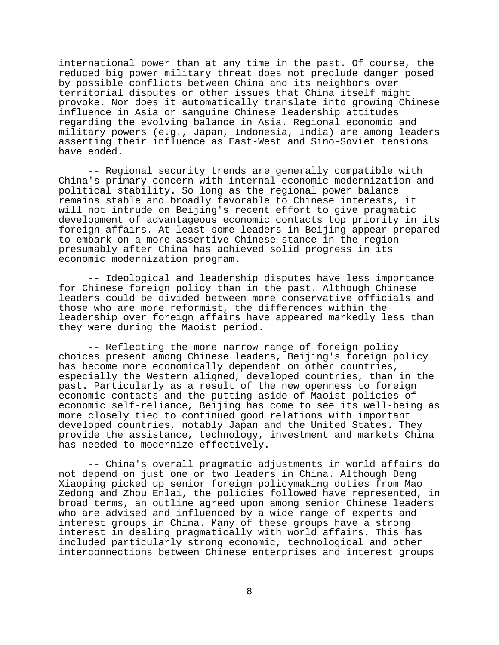international power than at any time in the past. Of course, the reduced big power military threat does not preclude danger posed by possible conflicts between China and its neighbors over territorial disputes or other issues that China itself might provoke. Nor does it automatically translate into growing Chinese influence in Asia or sanguine Chinese leadership attitudes regarding the evolving balance in Asia. Regional economic and military powers (e.g., Japan, Indonesia, India) are among leaders asserting their influence as East-West and Sino-Soviet tensions have ended.

-- Regional security trends are generally compatible with China's primary concern with internal economic modernization and political stability. So long as the regional power balance remains stable and broadly favorable to Chinese interests, it will not intrude on Beijing's recent effort to give pragmatic development of advantageous economic contacts top priority in its foreign affairs. At least some leaders in Beijing appear prepared to embark on a more assertive Chinese stance in the region presumably after China has achieved solid progress in its economic modernization program.

-- Ideological and leadership disputes have less importance for Chinese foreign policy than in the past. Although Chinese leaders could be divided between more conservative officials and those who are more reformist, the differences within the leadership over foreign affairs have appeared markedly less than they were during the Maoist period.

-- Reflecting the more narrow range of foreign policy choices present among Chinese leaders, Beijing's foreign policy has become more economically dependent on other countries, especially the Western aligned, developed countries, than in the past. Particularly as a result of the new openness to foreign economic contacts and the putting aside of Maoist policies of economic self-reliance, Beijing has come to see its well-being as more closely tied to continued good relations with important developed countries, notably Japan and the United States. They provide the assistance, technology, investment and markets China has needed to modernize effectively.

-- China's overall pragmatic adjustments in world affairs do not depend on just one or two leaders in China. Although Deng Xiaoping picked up senior foreign policymaking duties from Mao Zedong and Zhou Enlai, the policies followed have represented, in broad terms, an outline agreed upon among senior Chinese leaders who are advised and influenced by a wide range of experts and interest groups in China. Many of these groups have a strong interest in dealing pragmatically with world affairs. This has included particularly strong economic, technological and other interconnections between Chinese enterprises and interest groups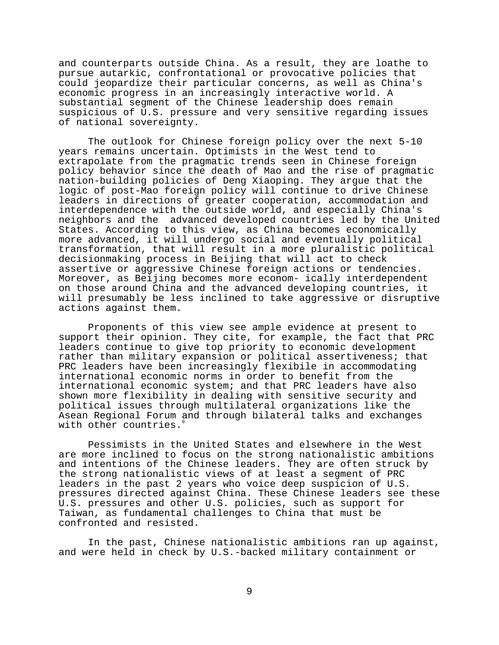and counterparts outside China. As a result, they are loathe to pursue autarkic, confrontational or provocative policies that could jeopardize their particular concerns, as well as China's economic progress in an increasingly interactive world. A substantial segment of the Chinese leadership does remain suspicious of U.S. pressure and very sensitive regarding issues of national sovereignty.

The outlook for Chinese foreign policy over the next 5-10 years remains uncertain. Optimists in the West tend to extrapolate from the pragmatic trends seen in Chinese foreign policy behavior since the death of Mao and the rise of pragmatic nation-building policies of Deng Xiaoping. They argue that the logic of post-Mao foreign policy will continue to drive Chinese leaders in directions of greater cooperation, accommodation and interdependence with the outside world, and especially China's neighbors and the advanced developed countries led by the United States. According to this view, as China becomes economically more advanced, it will undergo social and eventually political transformation, that will result in a more pluralistic political decisionmaking process in Beijing that will act to check assertive or aggressive Chinese foreign actions or tendencies. Moreover, as Beijing becomes more econom- ically interdependent on those around China and the advanced developing countries, it will presumably be less inclined to take aggressive or disruptive actions against them.

Proponents of this view see ample evidence at present to support their opinion. They cite, for example, the fact that PRC leaders continue to give top priority to economic development rather than military expansion or political assertiveness; that PRC leaders have been increasingly flexibile in accommodating international economic norms in order to benefit from the international economic system; and that PRC leaders have also shown more flexibility in dealing with sensitive security and political issues through multilateral organizations like the Asean Regional Forum and through bilateral talks and exchanges with other countries.

Pessimists in the United States and elsewhere in the West are more inclined to focus on the strong nationalistic ambitions and intentions of the Chinese leaders. They are often struck by the strong nationalistic views of at least a segment of PRC leaders in the past 2 years who voice deep suspicion of U.S. pressures directed against China. These Chinese leaders see these U.S. pressures and other U.S. policies, such as support for Taiwan, as fundamental challenges to China that must be confronted and resisted.

In the past, Chinese nationalistic ambitions ran up against, and were held in check by U.S.-backed military containment or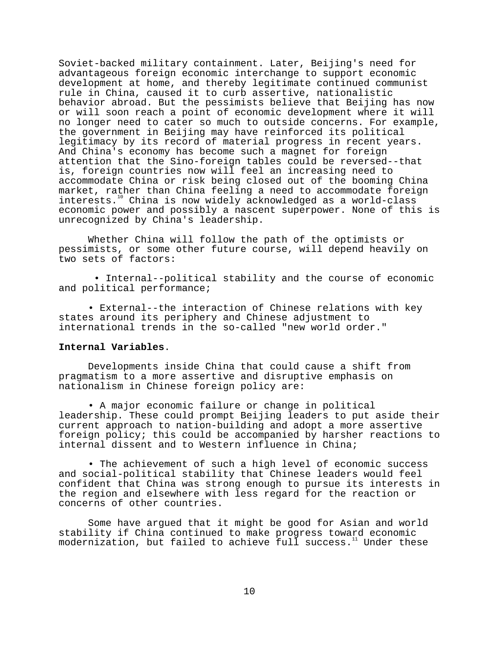Soviet-backed military containment. Later, Beijing's need for advantageous foreign economic interchange to support economic development at home, and thereby legitimate continued communist rule in China, caused it to curb assertive, nationalistic behavior abroad. But the pessimists believe that Beijing has now or will soon reach a point of economic development where it will no longer need to cater so much to outside concerns. For example, the government in Beijing may have reinforced its political legitimacy by its record of material progress in recent years. And China's economy has become such a magnet for foreign attention that the Sino-foreign tables could be reversed--that is, foreign countries now will feel an increasing need to accommodate China or risk being closed out of the booming China market, rather than China feeling a need to accommodate foreign interests.<sup>10</sup> China is now widely acknowledged as a world-class economic power and possibly a nascent superpower. None of this is unrecognized by China's leadership.

Whether China will follow the path of the optimists or pessimists, or some other future course, will depend heavily on two sets of factors:

 • Internal--political stability and the course of economic and political performance;

• External--the interaction of Chinese relations with key states around its periphery and Chinese adjustment to international trends in the so-called "new world order."

# **Internal Variables**.

Developments inside China that could cause a shift from pragmatism to a more assertive and disruptive emphasis on nationalism in Chinese foreign policy are:

• A major economic failure or change in political leadership. These could prompt Beijing leaders to put aside their current approach to nation-building and adopt a more assertive foreign policy; this could be accompanied by harsher reactions to internal dissent and to Western influence in China;

• The achievement of such a high level of economic success and social-political stability that Chinese leaders would feel confident that China was strong enough to pursue its interests in the region and elsewhere with less regard for the reaction or concerns of other countries.

Some have argued that it might be good for Asian and world stability if China continued to make progress toward economic modernization, but failed to achieve full success.<sup>11</sup> Under these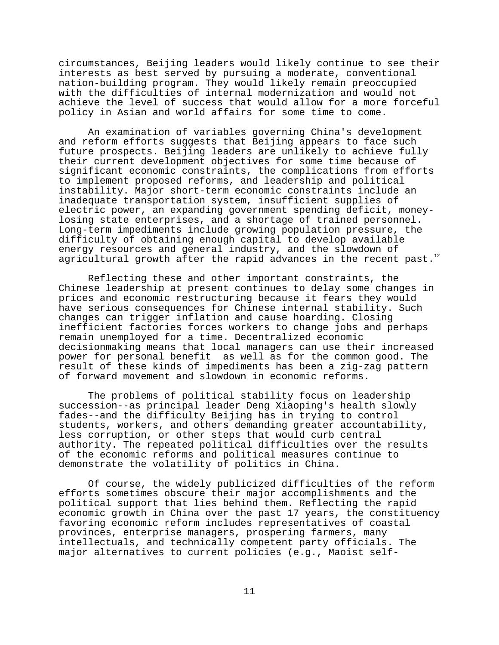circumstances, Beijing leaders would likely continue to see their interests as best served by pursuing a moderate, conventional nation-building program. They would likely remain preoccupied with the difficulties of internal modernization and would not achieve the level of success that would allow for a more forceful policy in Asian and world affairs for some time to come.

An examination of variables governing China's development and reform efforts suggests that Beijing appears to face such future prospects. Beijing leaders are unlikely to achieve fully their current development objectives for some time because of significant economic constraints, the complications from efforts to implement proposed reforms, and leadership and political instability. Major short-term economic constraints include an inadequate transportation system, insufficient supplies of electric power, an expanding government spending deficit, moneylosing state enterprises, and a shortage of trained personnel. Long-term impediments include growing population pressure, the difficulty of obtaining enough capital to develop available energy resources and general industry, and the slowdown of agricultural growth after the rapid advances in the recent past.<sup>12</sup>

Reflecting these and other important constraints, the Chinese leadership at present continues to delay some changes in prices and economic restructuring because it fears they would have serious consequences for Chinese internal stability. Such changes can trigger inflation and cause hoarding. Closing inefficient factories forces workers to change jobs and perhaps remain unemployed for a time. Decentralized economic decisionmaking means that local managers can use their increased power for personal benefit as well as for the common good. The result of these kinds of impediments has been a zig-zag pattern of forward movement and slowdown in economic reforms.

The problems of political stability focus on leadership succession--as principal leader Deng Xiaoping's health slowly fades--and the difficulty Beijing has in trying to control students, workers, and others demanding greater accountability, less corruption, or other steps that would curb central authority. The repeated political difficulties over the results of the economic reforms and political measures continue to demonstrate the volatility of politics in China.

Of course, the widely publicized difficulties of the reform efforts sometimes obscure their major accomplishments and the political support that lies behind them. Reflecting the rapid economic growth in China over the past 17 years, the constituency favoring economic reform includes representatives of coastal provinces, enterprise managers, prospering farmers, many intellectuals, and technically competent party officials. The major alternatives to current policies (e.g., Maoist self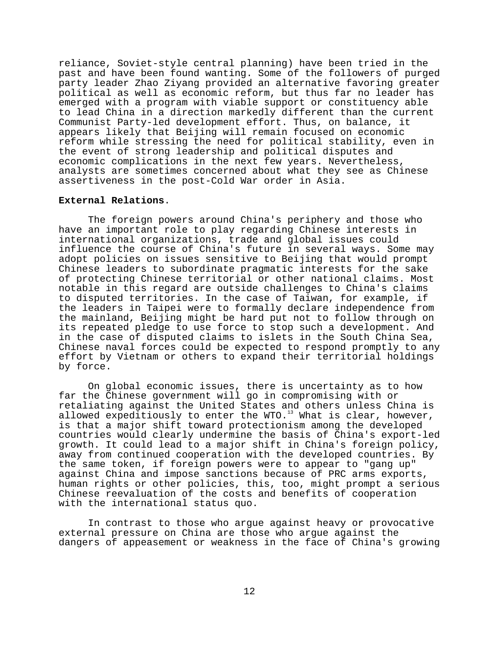reliance, Soviet-style central planning) have been tried in the past and have been found wanting. Some of the followers of purged party leader Zhao Ziyang provided an alternative favoring greater political as well as economic reform, but thus far no leader has emerged with a program with viable support or constituency able to lead China in a direction markedly different than the current Communist Party-led development effort. Thus, on balance, it appears likely that Beijing will remain focused on economic reform while stressing the need for political stability, even in the event of strong leadership and political disputes and economic complications in the next few years. Nevertheless, analysts are sometimes concerned about what they see as Chinese assertiveness in the post-Cold War order in Asia.

## **External Relations**.

The foreign powers around China's periphery and those who have an important role to play regarding Chinese interests in international organizations, trade and global issues could influence the course of China's future in several ways. Some may adopt policies on issues sensitive to Beijing that would prompt Chinese leaders to subordinate pragmatic interests for the sake of protecting Chinese territorial or other national claims. Most notable in this regard are outside challenges to China's claims to disputed territories. In the case of Taiwan, for example, if the leaders in Taipei were to formally declare independence from the mainland, Beijing might be hard put not to follow through on its repeated pledge to use force to stop such a development. And in the case of disputed claims to islets in the South China Sea, Chinese naval forces could be expected to respond promptly to any effort by Vietnam or others to expand their territorial holdings by force.

On global economic issues, there is uncertainty as to how far the Chinese government will go in compromising with or retaliating against the United States and others unless China is allowed expeditiously to enter the WTO.<sup>13</sup> What is clear, however, is that a major shift toward protectionism among the developed countries would clearly undermine the basis of China's export-led growth. It could lead to a major shift in China's foreign policy, away from continued cooperation with the developed countries. By the same token, if foreign powers were to appear to "gang up" against China and impose sanctions because of PRC arms exports, human rights or other policies, this, too, might prompt a serious Chinese reevaluation of the costs and benefits of cooperation with the international status quo.

In contrast to those who argue against heavy or provocative external pressure on China are those who argue against the dangers of appeasement or weakness in the face of China's growing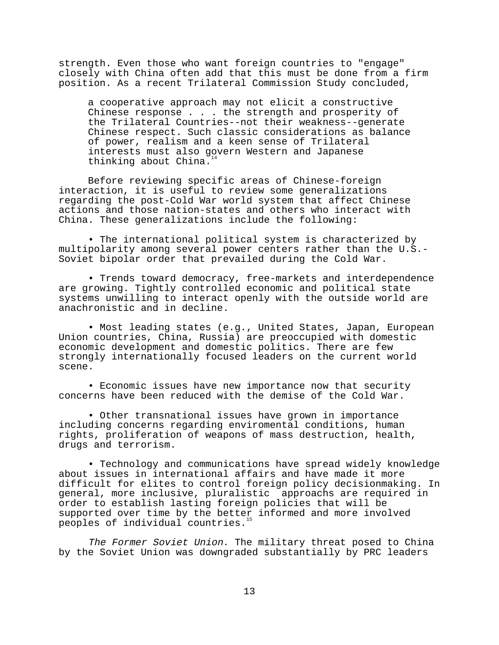strength. Even those who want foreign countries to "engage" closely with China often add that this must be done from a firm position. As a recent Trilateral Commission Study concluded,

a cooperative approach may not elicit a constructive Chinese response . . . the strength and prosperity of the Trilateral Countries--not their weakness--generate Chinese respect. Such classic considerations as balance of power, realism and a keen sense of Trilateral interests must also govern Western and Japanese thinking about China.

Before reviewing specific areas of Chinese-foreign interaction, it is useful to review some generalizations regarding the post-Cold War world system that affect Chinese actions and those nation-states and others who interact with China. These generalizations include the following:

• The international political system is characterized by multipolarity among several power centers rather than the U.S.- Soviet bipolar order that prevailed during the Cold War.

• Trends toward democracy, free-markets and interdependence are growing. Tightly controlled economic and political state systems unwilling to interact openly with the outside world are anachronistic and in decline.

• Most leading states (e.g., United States, Japan, European Union countries, China, Russia) are preoccupied with domestic economic development and domestic politics. There are few strongly internationally focused leaders on the current world scene.

• Economic issues have new importance now that security concerns have been reduced with the demise of the Cold War.

• Other transnational issues have grown in importance including concerns regarding enviromental conditions, human rights, proliferation of weapons of mass destruction, health, drugs and terrorism.

• Technology and communications have spread widely knowledge about issues in international affairs and have made it more difficult for elites to control foreign policy decisionmaking. In general, more inclusive, pluralistic approachs are required in order to establish lasting foreign policies that will be supported over time by the better informed and more involved peoples of individual countries.

The Former Soviet Union. The military threat posed to China by the Soviet Union was downgraded substantially by PRC leaders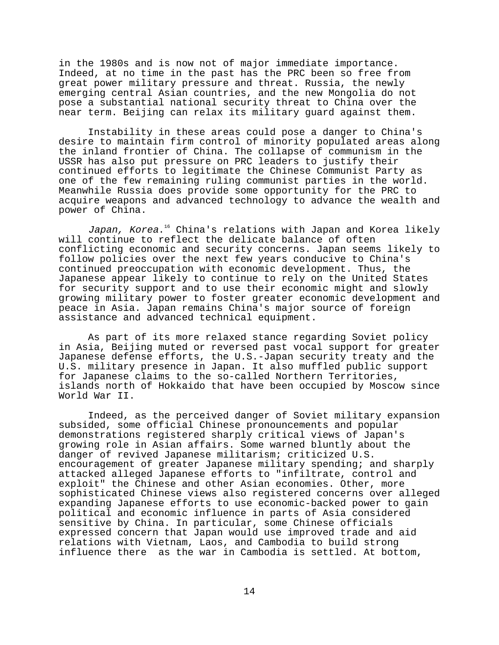in the 1980s and is now not of major immediate importance. Indeed, at no time in the past has the PRC been so free from great power military pressure and threat. Russia, the newly emerging central Asian countries, and the new Mongolia do not pose a substantial national security threat to China over the near term. Beijing can relax its military guard against them.

Instability in these areas could pose a danger to China's desire to maintain firm control of minority populated areas along the inland frontier of China. The collapse of communism in the USSR has also put pressure on PRC leaders to justify their continued efforts to legitimate the Chinese Communist Party as one of the few remaining ruling communist parties in the world. Meanwhile Russia does provide some opportunity for the PRC to acquire weapons and advanced technology to advance the wealth and power of China.

Japan, Korea. $16$  China's relations with Japan and Korea likely will continue to reflect the delicate balance of often conflicting economic and security concerns. Japan seems likely to follow policies over the next few years conducive to China's continued preoccupation with economic development. Thus, the Japanese appear likely to continue to rely on the United States for security support and to use their economic might and slowly growing military power to foster greater economic development and peace in Asia. Japan remains China's major source of foreign assistance and advanced technical equipment.

As part of its more relaxed stance regarding Soviet policy in Asia, Beijing muted or reversed past vocal support for greater Japanese defense efforts, the U.S.-Japan security treaty and the U.S. military presence in Japan. It also muffled public support for Japanese claims to the so-called Northern Territories, islands north of Hokkaido that have been occupied by Moscow since World War II.

Indeed, as the perceived danger of Soviet military expansion subsided, some official Chinese pronouncements and popular demonstrations registered sharply critical views of Japan's growing role in Asian affairs. Some warned bluntly about the danger of revived Japanese militarism; criticized U.S. encouragement of greater Japanese military spending; and sharply attacked alleged Japanese efforts to "infiltrate, control and exploit" the Chinese and other Asian economies. Other, more sophisticated Chinese views also registered concerns over alleged expanding Japanese efforts to use economic-backed power to gain political and economic influence in parts of Asia considered sensitive by China. In particular, some Chinese officials expressed concern that Japan would use improved trade and aid relations with Vietnam, Laos, and Cambodia to build strong influence there as the war in Cambodia is settled. At bottom,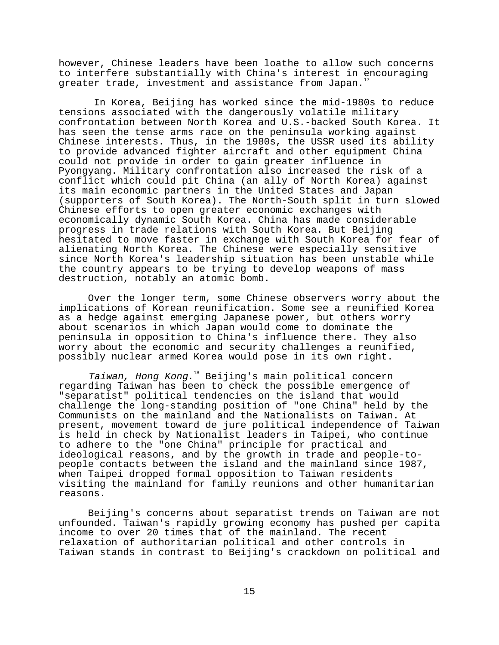however, Chinese leaders have been loathe to allow such concerns to interfere substantially with China's interest in encouraging greater trade, investment and assistance from Japan.

 In Korea, Beijing has worked since the mid-1980s to reduce tensions associated with the dangerously volatile military confrontation between North Korea and U.S.-backed South Korea. It has seen the tense arms race on the peninsula working against Chinese interests. Thus, in the 1980s, the USSR used its ability to provide advanced fighter aircraft and other equipment China could not provide in order to gain greater influence in Pyongyang. Military confrontation also increased the risk of a conflict which could pit China (an ally of North Korea) against its main economic partners in the United States and Japan (supporters of South Korea). The North-South split in turn slowed Chinese efforts to open greater economic exchanges with economically dynamic South Korea. China has made considerable progress in trade relations with South Korea. But Beijing hesitated to move faster in exchange with South Korea for fear of alienating North Korea. The Chinese were especially sensitive since North Korea's leadership situation has been unstable while the country appears to be trying to develop weapons of mass destruction, notably an atomic bomb.

Over the longer term, some Chinese observers worry about the implications of Korean reunification. Some see a reunified Korea as a hedge against emerging Japanese power, but others worry about scenarios in which Japan would come to dominate the peninsula in opposition to China's influence there. They also worry about the economic and security challenges a reunified, possibly nuclear armed Korea would pose in its own right.

Taiwan, Hong Kong.<sup>18</sup> Beijing's main political concern regarding Taiwan has been to check the possible emergence of "separatist" political tendencies on the island that would challenge the long-standing position of "one China" held by the Communists on the mainland and the Nationalists on Taiwan. At present, movement toward de jure political independence of Taiwan is held in check by Nationalist leaders in Taipei, who continue to adhere to the "one China" principle for practical and ideological reasons, and by the growth in trade and people-topeople contacts between the island and the mainland since 1987, when Taipei dropped formal opposition to Taiwan residents visiting the mainland for family reunions and other humanitarian reasons.

Beijing's concerns about separatist trends on Taiwan are not unfounded. Taiwan's rapidly growing economy has pushed per capita income to over 20 times that of the mainland. The recent relaxation of authoritarian political and other controls in Taiwan stands in contrast to Beijing's crackdown on political and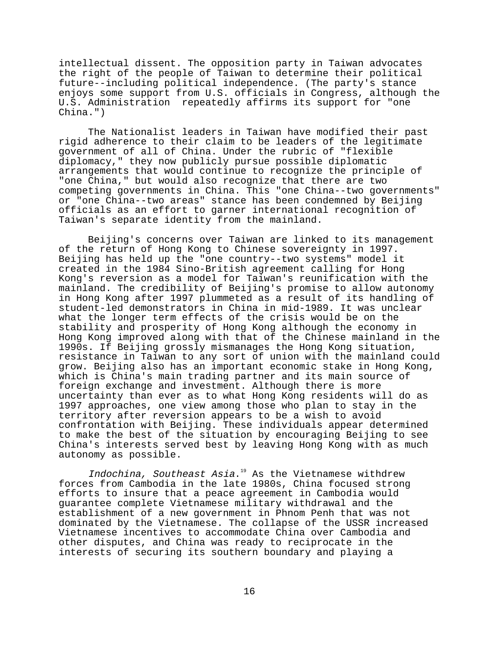intellectual dissent. The opposition party in Taiwan advocates the right of the people of Taiwan to determine their political future--including political independence. (The party's stance enjoys some support from U.S. officials in Congress, although the U.S. Administration repeatedly affirms its support for "one China.")

The Nationalist leaders in Taiwan have modified their past rigid adherence to their claim to be leaders of the legitimate government of all of China. Under the rubric of "flexible diplomacy," they now publicly pursue possible diplomatic arrangements that would continue to recognize the principle of "one China," but would also recognize that there are two competing governments in China. This "one China--two governments" or "one China--two areas" stance has been condemned by Beijing officials as an effort to garner international recognition of Taiwan's separate identity from the mainland.

Beijing's concerns over Taiwan are linked to its management of the return of Hong Kong to Chinese sovereignty in 1997. Beijing has held up the "one country--two systems" model it created in the 1984 Sino-British agreement calling for Hong Kong's reversion as a model for Taiwan's reunification with the mainland. The credibility of Beijing's promise to allow autonomy in Hong Kong after 1997 plummeted as a result of its handling of student-led demonstrators in China in mid-1989. It was unclear what the longer term effects of the crisis would be on the stability and prosperity of Hong Kong although the economy in Hong Kong improved along with that of the Chinese mainland in the 1990s. If Beijing grossly mismanages the Hong Kong situation, resistance in Taiwan to any sort of union with the mainland could grow. Beijing also has an important economic stake in Hong Kong, which is China's main trading partner and its main source of foreign exchange and investment. Although there is more uncertainty than ever as to what Hong Kong residents will do as 1997 approaches, one view among those who plan to stay in the territory after reversion appears to be a wish to avoid confrontation with Beijing. These individuals appear determined to make the best of the situation by encouraging Beijing to see China's interests served best by leaving Hong Kong with as much autonomy as possible.

Indochina, Southeast Asia. $19$  As the Vietnamese withdrew forces from Cambodia in the late 1980s, China focused strong efforts to insure that a peace agreement in Cambodia would guarantee complete Vietnamese military withdrawal and the establishment of a new government in Phnom Penh that was not dominated by the Vietnamese. The collapse of the USSR increased Vietnamese incentives to accommodate China over Cambodia and other disputes, and China was ready to reciprocate in the interests of securing its southern boundary and playing a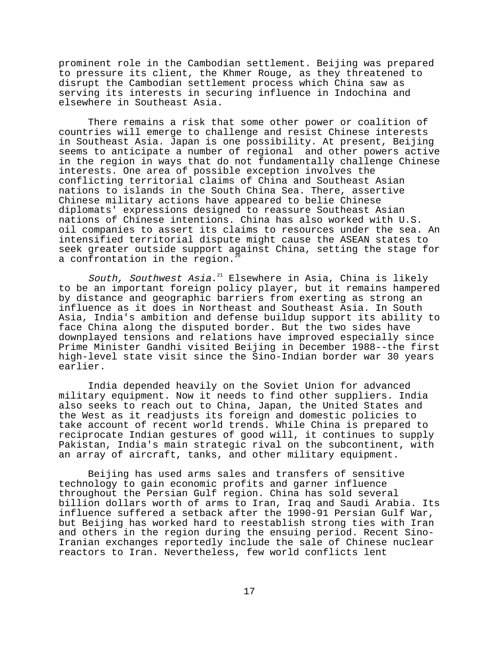prominent role in the Cambodian settlement. Beijing was prepared to pressure its client, the Khmer Rouge, as they threatened to disrupt the Cambodian settlement process which China saw as serving its interests in securing influence in Indochina and elsewhere in Southeast Asia.

There remains a risk that some other power or coalition of countries will emerge to challenge and resist Chinese interests in Southeast Asia. Japan is one possibility. At present, Beijing seems to anticipate a number of regional and other powers active in the region in ways that do not fundamentally challenge Chinese interests. One area of possible exception involves the conflicting territorial claims of China and Southeast Asian nations to islands in the South China Sea. There, assertive Chinese military actions have appeared to belie Chinese diplomats' expressions designed to reassure Southeast Asian nations of Chinese intentions. China has also worked with U.S. oil companies to assert its claims to resources under the sea. An intensified territorial dispute might cause the ASEAN states to seek greater outside support against China, setting the stage for a confrontation in the region.

South, Southwest Asia. $^{21}$  Elsewhere in Asia, China is likely to be an important foreign policy player, but it remains hampered by distance and geographic barriers from exerting as strong an influence as it does in Northeast and Southeast Asia. In South Asia, India's ambition and defense buildup support its ability to face China along the disputed border. But the two sides have downplayed tensions and relations have improved especially since Prime Minister Gandhi visited Beijing in December 1988--the first high-level state visit since the Sino-Indian border war 30 years earlier.

India depended heavily on the Soviet Union for advanced military equipment. Now it needs to find other suppliers. India also seeks to reach out to China, Japan, the United States and the West as it readjusts its foreign and domestic policies to take account of recent world trends. While China is prepared to reciprocate Indian gestures of good will, it continues to supply Pakistan, India's main strategic rival on the subcontinent, with an array of aircraft, tanks, and other military equipment.

Beijing has used arms sales and transfers of sensitive technology to gain economic profits and garner influence throughout the Persian Gulf region. China has sold several billion dollars worth of arms to Iran, Iraq and Saudi Arabia. Its influence suffered a setback after the 1990-91 Persian Gulf War, but Beijing has worked hard to reestablish strong ties with Iran and others in the region during the ensuing period. Recent Sino-Iranian exchanges reportedly include the sale of Chinese nuclear reactors to Iran. Nevertheless, few world conflicts lent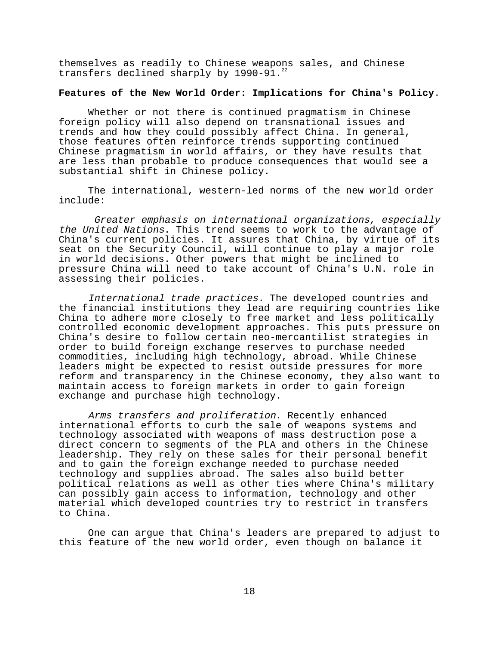themselves as readily to Chinese weapons sales, and Chinese transfers declined sharply by  $1990-91.^2$ 

## **Features of the New World Order: Implications for China's Policy**.

Whether or not there is continued pragmatism in Chinese foreign policy will also depend on transnational issues and trends and how they could possibly affect China. In general, those features often reinforce trends supporting continued Chinese pragmatism in world affairs, or they have results that are less than probable to produce consequences that would see a substantial shift in Chinese policy.

The international, western-led norms of the new world order include:

Greater emphasis on international organizations, especially the United Nations. This trend seems to work to the advantage of China's current policies. It assures that China, by virtue of its seat on the Security Council, will continue to play a major role in world decisions. Other powers that might be inclined to pressure China will need to take account of China's U.N. role in assessing their policies.

International trade practices. The developed countries and the financial institutions they lead are requiring countries like China to adhere more closely to free market and less politically controlled economic development approaches. This puts pressure on China's desire to follow certain neo-mercantilist strategies in order to build foreign exchange reserves to purchase needed commodities, including high technology, abroad. While Chinese leaders might be expected to resist outside pressures for more reform and transparency in the Chinese economy, they also want to maintain access to foreign markets in order to gain foreign exchange and purchase high technology.

Arms transfers and proliferation. Recently enhanced international efforts to curb the sale of weapons systems and technology associated with weapons of mass destruction pose a direct concern to segments of the PLA and others in the Chinese leadership. They rely on these sales for their personal benefit and to gain the foreign exchange needed to purchase needed technology and supplies abroad. The sales also build better political relations as well as other ties where China's military can possibly gain access to information, technology and other material which developed countries try to restrict in transfers to China.

One can argue that China's leaders are prepared to adjust to this feature of the new world order, even though on balance it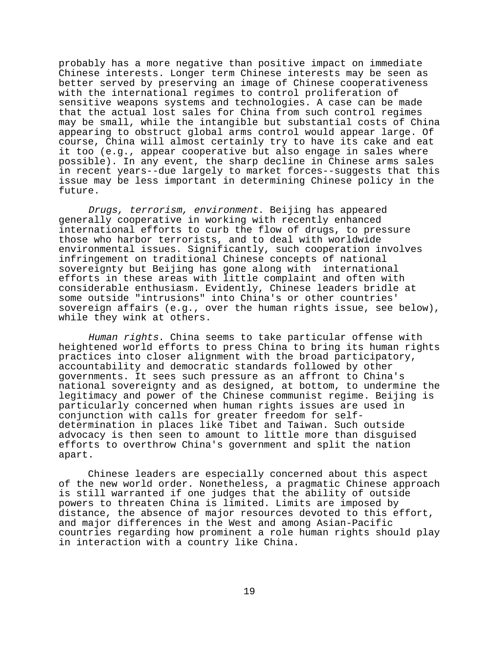probably has a more negative than positive impact on immediate Chinese interests. Longer term Chinese interests may be seen as better served by preserving an image of Chinese cooperativeness with the international regimes to control proliferation of sensitive weapons systems and technologies. A case can be made that the actual lost sales for China from such control regimes may be small, while the intangible but substantial costs of China appearing to obstruct global arms control would appear large. Of course, China will almost certainly try to have its cake and eat it too (e.g., appear cooperative but also engage in sales where possible). In any event, the sharp decline in Chinese arms sales in recent years--due largely to market forces--suggests that this issue may be less important in determining Chinese policy in the future.

Drugs, terrorism, environment. Beijing has appeared generally cooperative in working with recently enhanced international efforts to curb the flow of drugs, to pressure those who harbor terrorists, and to deal with worldwide environmental issues. Significantly, such cooperation involves infringement on traditional Chinese concepts of national sovereignty but Beijing has gone along with international efforts in these areas with little complaint and often with considerable enthusiasm. Evidently, Chinese leaders bridle at some outside "intrusions" into China's or other countries' sovereign affairs (e.g., over the human rights issue, see below), while they wink at others.

Human rights. China seems to take particular offense with heightened world efforts to press China to bring its human rights practices into closer alignment with the broad participatory, accountability and democratic standards followed by other governments. It sees such pressure as an affront to China's national sovereignty and as designed, at bottom, to undermine the legitimacy and power of the Chinese communist regime. Beijing is particularly concerned when human rights issues are used in conjunction with calls for greater freedom for selfdetermination in places like Tibet and Taiwan. Such outside advocacy is then seen to amount to little more than disguised efforts to overthrow China's government and split the nation apart.

Chinese leaders are especially concerned about this aspect of the new world order. Nonetheless, a pragmatic Chinese approach is still warranted if one judges that the ability of outside powers to threaten China is limited. Limits are imposed by distance, the absence of major resources devoted to this effort, and major differences in the West and among Asian-Pacific countries regarding how prominent a role human rights should play in interaction with a country like China.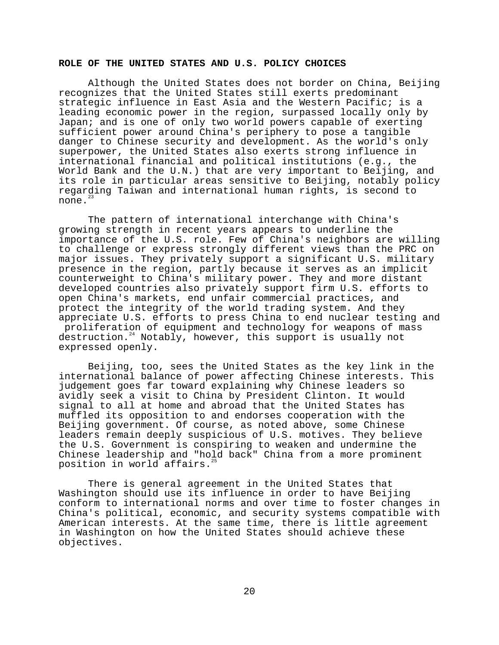## **ROLE OF THE UNITED STATES AND U.S. POLICY CHOICES**

Although the United States does not border on China, Beijing recognizes that the United States still exerts predominant strategic influence in East Asia and the Western Pacific; is a leading economic power in the region, surpassed locally only by Japan; and is one of only two world powers capable of exerting sufficient power around China's periphery to pose a tangible danger to Chinese security and development. As the world's only superpower, the United States also exerts strong influence in international financial and political institutions (e.g., the World Bank and the U.N.) that are very important to Beijing, and its role in particular areas sensitive to Beijing, notably policy regarding Taiwan and international human rights, is second to none.<sup>2</sup>

The pattern of international interchange with China's growing strength in recent years appears to underline the importance of the U.S. role. Few of China's neighbors are willing to challenge or express strongly different views than the PRC on major issues. They privately support a significant U.S. military presence in the region, partly because it serves as an implicit counterweight to China's military power. They and more distant developed countries also privately support firm U.S. efforts to open China's markets, end unfair commercial practices, and protect the integrity of the world trading system. And they appreciate U.S. efforts to press China to end nuclear testing and proliferation of equipment and technology for weapons of mass destruction.<sup>24</sup> Notably, however, this support is usually not expressed openly.

Beijing, too, sees the United States as the key link in the international balance of power affecting Chinese interests. This judgement goes far toward explaining why Chinese leaders so avidly seek a visit to China by President Clinton. It would signal to all at home and abroad that the United States has muffled its opposition to and endorses cooperation with the Beijing government. Of course, as noted above, some Chinese leaders remain deeply suspicious of U.S. motives. They believe the U.S. Government is conspiring to weaken and undermine the Chinese leadership and "hold back" China from a more prominent position in world affairs.<sup>25</sup>

There is general agreement in the United States that Washington should use its influence in order to have Beijing conform to international norms and over time to foster changes in China's political, economic, and security systems compatible with American interests. At the same time, there is little agreement in Washington on how the United States should achieve these objectives.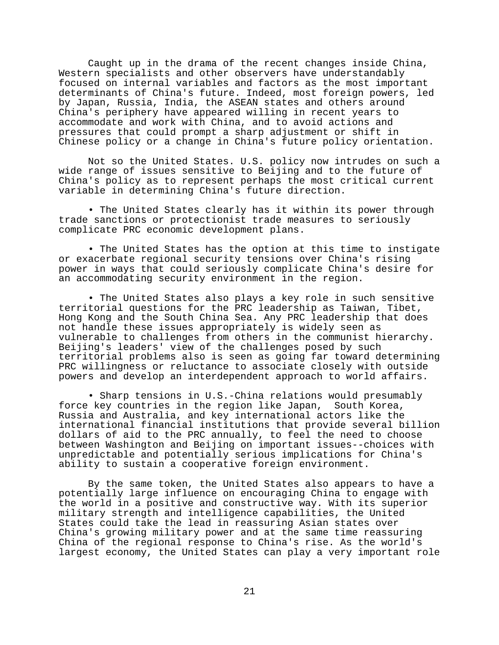Caught up in the drama of the recent changes inside China, Western specialists and other observers have understandably focused on internal variables and factors as the most important determinants of China's future. Indeed, most foreign powers, led by Japan, Russia, India, the ASEAN states and others around China's periphery have appeared willing in recent years to accommodate and work with China, and to avoid actions and pressures that could prompt a sharp adjustment or shift in Chinese policy or a change in China's future policy orientation.

Not so the United States. U.S. policy now intrudes on such a wide range of issues sensitive to Beijing and to the future of China's policy as to represent perhaps the most critical current variable in determining China's future direction.

• The United States clearly has it within its power through trade sanctions or protectionist trade measures to seriously complicate PRC economic development plans.

• The United States has the option at this time to instigate or exacerbate regional security tensions over China's rising power in ways that could seriously complicate China's desire for an accommodating security environment in the region.

• The United States also plays a key role in such sensitive territorial questions for the PRC leadership as Taiwan, Tibet, Hong Kong and the South China Sea. Any PRC leadership that does not handle these issues appropriately is widely seen as vulnerable to challenges from others in the communist hierarchy. Beijing's leaders' view of the challenges posed by such territorial problems also is seen as going far toward determining PRC willingness or reluctance to associate closely with outside powers and develop an interdependent approach to world affairs.

• Sharp tensions in U.S.-China relations would presumably force key countries in the region like Japan, South Korea, Russia and Australia, and key international actors like the international financial institutions that provide several billion dollars of aid to the PRC annually, to feel the need to choose between Washington and Beijing on important issues--choices with unpredictable and potentially serious implications for China's ability to sustain a cooperative foreign environment.

By the same token, the United States also appears to have a potentially large influence on encouraging China to engage with the world in a positive and constructive way. With its superior military strength and intelligence capabilities, the United States could take the lead in reassuring Asian states over China's growing military power and at the same time reassuring China of the regional response to China's rise. As the world's largest economy, the United States can play a very important role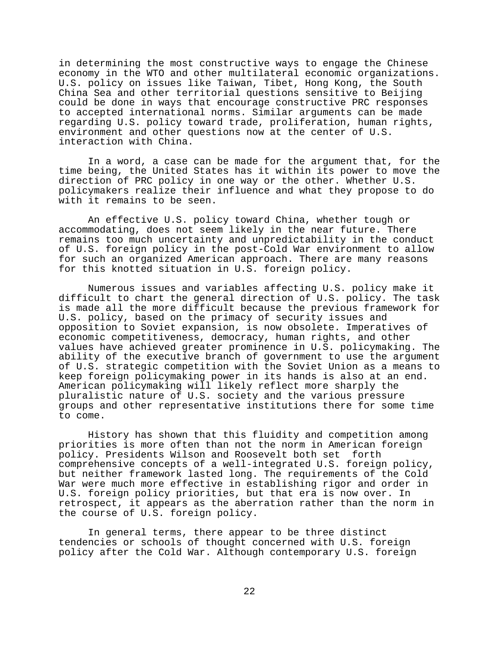in determining the most constructive ways to engage the Chinese economy in the WTO and other multilateral economic organizations. U.S. policy on issues like Taiwan, Tibet, Hong Kong, the South China Sea and other territorial questions sensitive to Beijing could be done in ways that encourage constructive PRC responses to accepted international norms. Similar arguments can be made regarding U.S. policy toward trade, proliferation, human rights, environment and other questions now at the center of U.S. interaction with China.

In a word, a case can be made for the argument that, for the time being, the United States has it within its power to move the direction of PRC policy in one way or the other. Whether U.S. policymakers realize their influence and what they propose to do with it remains to be seen.

An effective U.S. policy toward China, whether tough or accommodating, does not seem likely in the near future. There remains too much uncertainty and unpredictability in the conduct of U.S. foreign policy in the post-Cold War environment to allow for such an organized American approach. There are many reasons for this knotted situation in U.S. foreign policy.

Numerous issues and variables affecting U.S. policy make it difficult to chart the general direction of U.S. policy. The task is made all the more difficult because the previous framework for U.S. policy, based on the primacy of security issues and opposition to Soviet expansion, is now obsolete. Imperatives of economic competitiveness, democracy, human rights, and other values have achieved greater prominence in U.S. policymaking. The ability of the executive branch of government to use the argument of U.S. strategic competition with the Soviet Union as a means to keep foreign policymaking power in its hands is also at an end. American policymaking will likely reflect more sharply the pluralistic nature of U.S. society and the various pressure groups and other representative institutions there for some time to come.

History has shown that this fluidity and competition among priorities is more often than not the norm in American foreign policy. Presidents Wilson and Roosevelt both set forth comprehensive concepts of a well-integrated U.S. foreign policy, but neither framework lasted long. The requirements of the Cold War were much more effective in establishing rigor and order in U.S. foreign policy priorities, but that era is now over. In retrospect, it appears as the aberration rather than the norm in the course of U.S. foreign policy.

In general terms, there appear to be three distinct tendencies or schools of thought concerned with U.S. foreign policy after the Cold War. Although contemporary U.S. foreign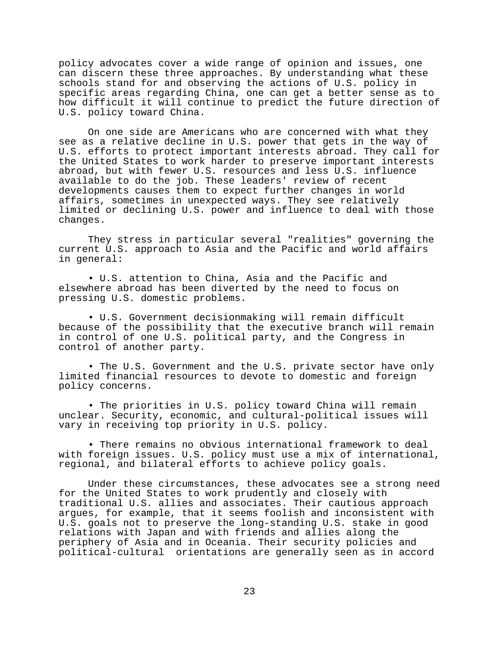policy advocates cover a wide range of opinion and issues, one can discern these three approaches. By understanding what these schools stand for and observing the actions of U.S. policy in specific areas regarding China, one can get a better sense as to how difficult it will continue to predict the future direction of U.S. policy toward China.

On one side are Americans who are concerned with what they see as a relative decline in U.S. power that gets in the way of U.S. efforts to protect important interests abroad. They call for the United States to work harder to preserve important interests abroad, but with fewer U.S. resources and less U.S. influence available to do the job. These leaders' review of recent developments causes them to expect further changes in world affairs, sometimes in unexpected ways. They see relatively limited or declining U.S. power and influence to deal with those changes.

They stress in particular several "realities" governing the current U.S. approach to Asia and the Pacific and world affairs in general:

• U.S. attention to China, Asia and the Pacific and elsewhere abroad has been diverted by the need to focus on pressing U.S. domestic problems.

• U.S. Government decisionmaking will remain difficult because of the possibility that the executive branch will remain in control of one U.S. political party, and the Congress in control of another party.

• The U.S. Government and the U.S. private sector have only limited financial resources to devote to domestic and foreign policy concerns.

• The priorities in U.S. policy toward China will remain unclear. Security, economic, and cultural-political issues will vary in receiving top priority in U.S. policy.

• There remains no obvious international framework to deal with foreign issues. U.S. policy must use a mix of international, regional, and bilateral efforts to achieve policy goals.

Under these circumstances, these advocates see a strong need for the United States to work prudently and closely with traditional U.S. allies and associates. Their cautious approach argues, for example, that it seems foolish and inconsistent with U.S. goals not to preserve the long-standing U.S. stake in good relations with Japan and with friends and allies along the periphery of Asia and in Oceania. Their security policies and political-cultural orientations are generally seen as in accord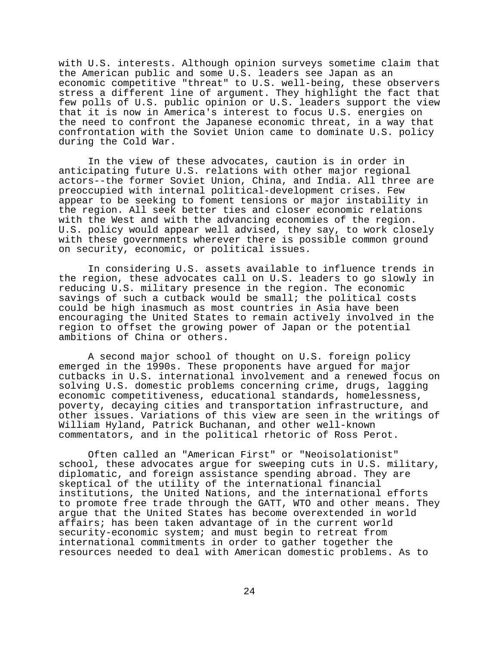with U.S. interests. Although opinion surveys sometime claim that the American public and some U.S. leaders see Japan as an economic competitive "threat" to U.S. well-being, these observers stress a different line of argument. They highlight the fact that few polls of U.S. public opinion or U.S. leaders support the view that it is now in America's interest to focus U.S. energies on the need to confront the Japanese economic threat, in a way that confrontation with the Soviet Union came to dominate U.S. policy during the Cold War.

In the view of these advocates, caution is in order in anticipating future U.S. relations with other major regional actors--the former Soviet Union, China, and India. All three are preoccupied with internal political-development crises. Few appear to be seeking to foment tensions or major instability in the region. All seek better ties and closer economic relations with the West and with the advancing economies of the region. U.S. policy would appear well advised, they say, to work closely with these governments wherever there is possible common ground on security, economic, or political issues.

In considering U.S. assets available to influence trends in the region, these advocates call on U.S. leaders to go slowly in reducing U.S. military presence in the region. The economic savings of such a cutback would be small; the political costs could be high inasmuch as most countries in Asia have been encouraging the United States to remain actively involved in the region to offset the growing power of Japan or the potential ambitions of China or others.

A second major school of thought on U.S. foreign policy emerged in the 1990s. These proponents have argued for major cutbacks in U.S. international involvement and a renewed focus on solving U.S. domestic problems concerning crime, drugs, lagging economic competitiveness, educational standards, homelessness, poverty, decaying cities and transportation infrastructure, and other issues. Variations of this view are seen in the writings of William Hyland, Patrick Buchanan, and other well-known commentators, and in the political rhetoric of Ross Perot.

Often called an "American First" or "Neoisolationist" school, these advocates argue for sweeping cuts in U.S. military, diplomatic, and foreign assistance spending abroad. They are skeptical of the utility of the international financial institutions, the United Nations, and the international efforts to promote free trade through the GATT, WTO and other means. They argue that the United States has become overextended in world affairs; has been taken advantage of in the current world security-economic system; and must begin to retreat from international commitments in order to gather together the resources needed to deal with American domestic problems. As to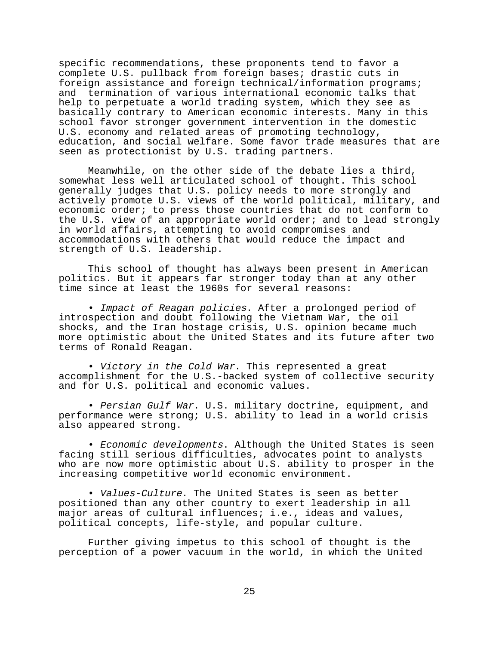specific recommendations, these proponents tend to favor a complete U.S. pullback from foreign bases; drastic cuts in foreign assistance and foreign technical/information programs; and termination of various international economic talks that help to perpetuate a world trading system, which they see as basically contrary to American economic interests. Many in this school favor stronger government intervention in the domestic U.S. economy and related areas of promoting technology, education, and social welfare. Some favor trade measures that are seen as protectionist by U.S. trading partners.

Meanwhile, on the other side of the debate lies a third, somewhat less well articulated school of thought. This school generally judges that U.S. policy needs to more strongly and actively promote U.S. views of the world political, military, and economic order; to press those countries that do not conform to the U.S. view of an appropriate world order; and to lead strongly in world affairs, attempting to avoid compromises and accommodations with others that would reduce the impact and strength of U.S. leadership.

This school of thought has always been present in American politics. But it appears far stronger today than at any other time since at least the 1960s for several reasons:

• Impact of Reagan policies. After a prolonged period of introspection and doubt following the Vietnam War, the oil shocks, and the Iran hostage crisis, U.S. opinion became much more optimistic about the United States and its future after two terms of Ronald Reagan.

• Victory in the Cold War. This represented a great accomplishment for the U.S.-backed system of collective security and for U.S. political and economic values.

• Persian Gulf War. U.S. military doctrine, equipment, and performance were strong; U.S. ability to lead in a world crisis also appeared strong.

• Economic developments. Although the United States is seen facing still serious difficulties, advocates point to analysts who are now more optimistic about U.S. ability to prosper in the increasing competitive world economic environment.

• Values-Culture. The United States is seen as better positioned than any other country to exert leadership in all major areas of cultural influences; i.e., ideas and values, political concepts, life-style, and popular culture.

Further giving impetus to this school of thought is the perception of a power vacuum in the world, in which the United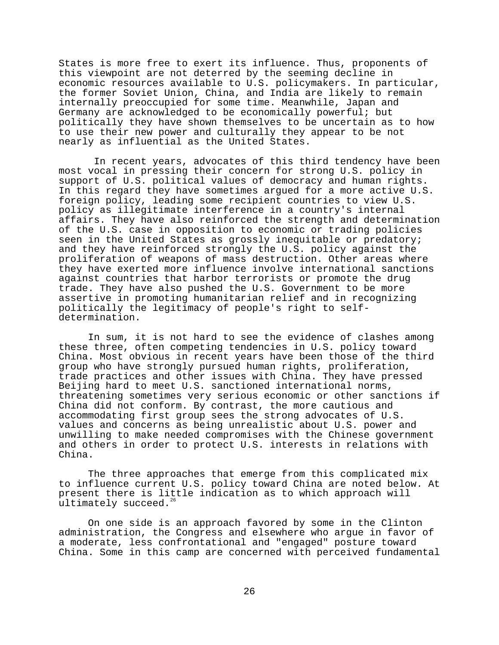States is more free to exert its influence. Thus, proponents of this viewpoint are not deterred by the seeming decline in economic resources available to U.S. policymakers. In particular, the former Soviet Union, China, and India are likely to remain internally preoccupied for some time. Meanwhile, Japan and Germany are acknowledged to be economically powerful; but politically they have shown themselves to be uncertain as to how to use their new power and culturally they appear to be not nearly as influential as the United States.

 In recent years, advocates of this third tendency have been most vocal in pressing their concern for strong U.S. policy in support of U.S. political values of democracy and human rights. In this regard they have sometimes argued for a more active U.S. foreign policy, leading some recipient countries to view U.S. policy as illegitimate interference in a country's internal affairs. They have also reinforced the strength and determination of the U.S. case in opposition to economic or trading policies seen in the United States as grossly inequitable or predatory; and they have reinforced strongly the U.S. policy against the proliferation of weapons of mass destruction. Other areas where they have exerted more influence involve international sanctions against countries that harbor terrorists or promote the drug trade. They have also pushed the U.S. Government to be more assertive in promoting humanitarian relief and in recognizing politically the legitimacy of people's right to selfdetermination.

In sum, it is not hard to see the evidence of clashes among these three, often competing tendencies in U.S. policy toward China. Most obvious in recent years have been those of the third group who have strongly pursued human rights, proliferation, trade practices and other issues with China. They have pressed Beijing hard to meet U.S. sanctioned international norms, threatening sometimes very serious economic or other sanctions if China did not conform. By contrast, the more cautious and accommodating first group sees the strong advocates of U.S. values and concerns as being unrealistic about U.S. power and unwilling to make needed compromises with the Chinese government and others in order to protect U.S. interests in relations with China.

The three approaches that emerge from this complicated mix to influence current U.S. policy toward China are noted below. At present there is little indication as to which approach will ultimately succeed.<sup>2</sup>

On one side is an approach favored by some in the Clinton administration, the Congress and elsewhere who argue in favor of a moderate, less confrontational and "engaged" posture toward China. Some in this camp are concerned with perceived fundamental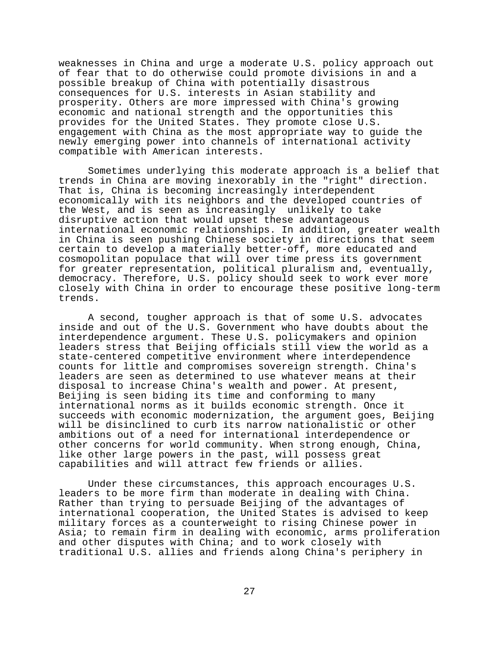weaknesses in China and urge a moderate U.S. policy approach out of fear that to do otherwise could promote divisions in and a possible breakup of China with potentially disastrous consequences for U.S. interests in Asian stability and prosperity. Others are more impressed with China's growing economic and national strength and the opportunities this provides for the United States. They promote close U.S. engagement with China as the most appropriate way to guide the newly emerging power into channels of international activity compatible with American interests.

Sometimes underlying this moderate approach is a belief that trends in China are moving inexorably in the "right" direction. That is, China is becoming increasingly interdependent economically with its neighbors and the developed countries of the West, and is seen as increasingly unlikely to take disruptive action that would upset these advantageous international economic relationships. In addition, greater wealth in China is seen pushing Chinese society in directions that seem certain to develop a materially better-off, more educated and cosmopolitan populace that will over time press its government for greater representation, political pluralism and, eventually, democracy. Therefore, U.S. policy should seek to work ever more closely with China in order to encourage these positive long-term trends.

A second, tougher approach is that of some U.S. advocates inside and out of the U.S. Government who have doubts about the interdependence argument. These U.S. policymakers and opinion leaders stress that Beijing officials still view the world as a state-centered competitive environment where interdependence counts for little and compromises sovereign strength. China's leaders are seen as determined to use whatever means at their disposal to increase China's wealth and power. At present, Beijing is seen biding its time and conforming to many international norms as it builds economic strength. Once it succeeds with economic modernization, the argument goes, Beijing will be disinclined to curb its narrow nationalistic or other ambitions out of a need for international interdependence or other concerns for world community. When strong enough, China, like other large powers in the past, will possess great capabilities and will attract few friends or allies.

Under these circumstances, this approach encourages U.S. leaders to be more firm than moderate in dealing with China. Rather than trying to persuade Beijing of the advantages of international cooperation, the United States is advised to keep military forces as a counterweight to rising Chinese power in Asia; to remain firm in dealing with economic, arms proliferation and other disputes with China; and to work closely with traditional U.S. allies and friends along China's periphery in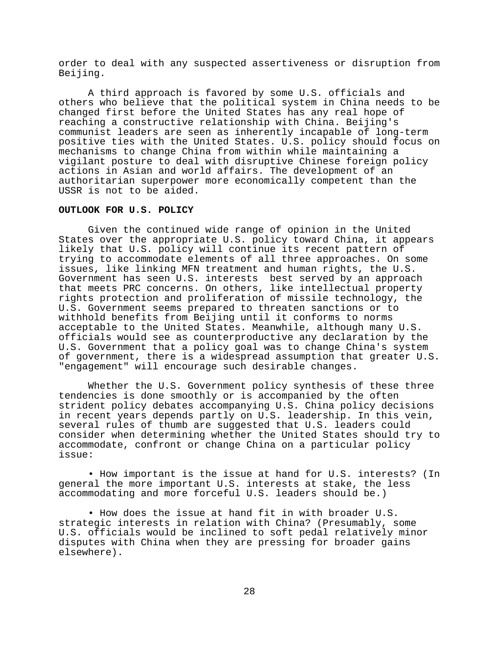order to deal with any suspected assertiveness or disruption from Beijing.

A third approach is favored by some U.S. officials and others who believe that the political system in China needs to be changed first before the United States has any real hope of reaching a constructive relationship with China. Beijing's communist leaders are seen as inherently incapable of long-term positive ties with the United States. U.S. policy should focus on mechanisms to change China from within while maintaining a vigilant posture to deal with disruptive Chinese foreign policy actions in Asian and world affairs. The development of an authoritarian superpower more economically competent than the USSR is not to be aided.

### **OUTLOOK FOR U.S. POLICY**

Given the continued wide range of opinion in the United States over the appropriate U.S. policy toward China, it appears likely that U.S. policy will continue its recent pattern of trying to accommodate elements of all three approaches. On some issues, like linking MFN treatment and human rights, the U.S. Government has seen U.S. interests best served by an approach that meets PRC concerns. On others, like intellectual property rights protection and proliferation of missile technology, the U.S. Government seems prepared to threaten sanctions or to withhold benefits from Beijing until it conforms to norms acceptable to the United States. Meanwhile, although many U.S. officials would see as counterproductive any declaration by the U.S. Government that a policy goal was to change China's system of government, there is a widespread assumption that greater U.S. "engagement" will encourage such desirable changes.

Whether the U.S. Government policy synthesis of these three tendencies is done smoothly or is accompanied by the often strident policy debates accompanying U.S. China policy decisions in recent years depends partly on U.S. leadership. In this vein, several rules of thumb are suggested that U.S. leaders could consider when determining whether the United States should try to accommodate, confront or change China on a particular policy issue:

• How important is the issue at hand for U.S. interests? (In general the more important U.S. interests at stake, the less accommodating and more forceful U.S. leaders should be.)

• How does the issue at hand fit in with broader U.S. strategic interests in relation with China? (Presumably, some U.S. officials would be inclined to soft pedal relatively minor disputes with China when they are pressing for broader gains elsewhere).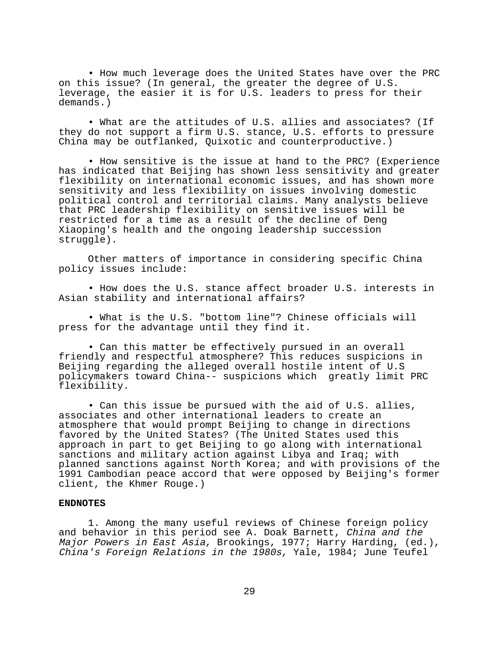• How much leverage does the United States have over the PRC on this issue? (In general, the greater the degree of U.S. leverage, the easier it is for U.S. leaders to press for their demands.)

• What are the attitudes of U.S. allies and associates? (If they do not support a firm U.S. stance, U.S. efforts to pressure China may be outflanked, Quixotic and counterproductive.)

• How sensitive is the issue at hand to the PRC? (Experience has indicated that Beijing has shown less sensitivity and greater flexibility on international economic issues, and has shown more sensitivity and less flexibility on issues involving domestic political control and territorial claims. Many analysts believe that PRC leadership flexibility on sensitive issues will be restricted for a time as a result of the decline of Deng Xiaoping's health and the ongoing leadership succession struggle).

Other matters of importance in considering specific China policy issues include:

• How does the U.S. stance affect broader U.S. interests in Asian stability and international affairs?

• What is the U.S. "bottom line"? Chinese officials will press for the advantage until they find it.

• Can this matter be effectively pursued in an overall friendly and respectful atmosphere? This reduces suspicions in Beijing regarding the alleged overall hostile intent of U.S policymakers toward China-- suspicions which greatly limit PRC flexibility.

• Can this issue be pursued with the aid of U.S. allies, associates and other international leaders to create an atmosphere that would prompt Beijing to change in directions favored by the United States? (The United States used this approach in part to get Beijing to go along with international sanctions and military action against Libya and Iraq; with planned sanctions against North Korea; and with provisions of the 1991 Cambodian peace accord that were opposed by Beijing's former client, the Khmer Rouge.)

# **ENDNOTES**

1. Among the many useful reviews of Chinese foreign policy and behavior in this period see A. Doak Barnett, China and the Major Powers in East Asia, Brookings, 1977; Harry Harding, (ed.), China's Foreign Relations in the 1980s, Yale, 1984; June Teufel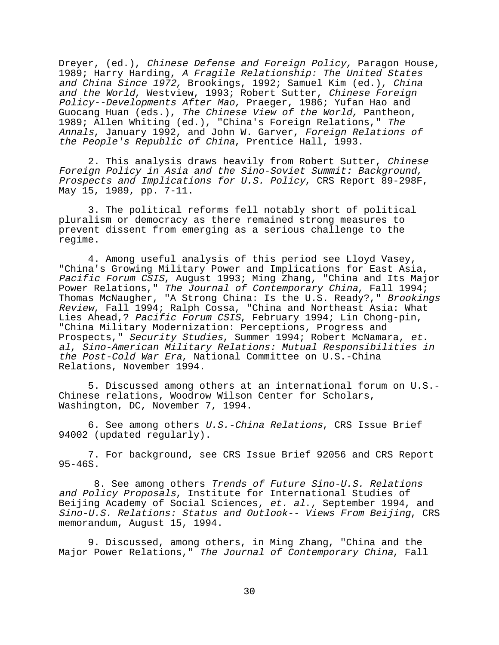Dreyer, (ed.), Chinese Defense and Foreign Policy, Paragon House, 1989; Harry Harding, A Fragile Relationship: The United States and China Since 1972, Brookings, 1992; Samuel Kim (ed.), China and the World, Westview, 1993; Robert Sutter, Chinese Foreign Policy--Developments After Mao, Praeger, 1986; Yufan Hao and Guocang Huan (eds.), The Chinese View of the World, Pantheon, 1989; Allen Whiting (ed.), "China's Foreign Relations," The Annals, January 1992, and John W. Garver, Foreign Relations of the People's Republic of China, Prentice Hall, 1993.

2. This analysis draws heavily from Robert Sutter, Chinese Foreign Policy in Asia and the Sino-Soviet Summit: Background, Prospects and Implications for U.S. Policy, CRS Report 89-298F, May 15, 1989, pp. 7-11.

3. The political reforms fell notably short of political pluralism or democracy as there remained strong measures to prevent dissent from emerging as a serious challenge to the regime.

4. Among useful analysis of this period see Lloyd Vasey, "China's Growing Military Power and Implications for East Asia, Pacific Forum CSIS, August 1993; Ming Zhang, "China and Its Major Power Relations," The Journal of Contemporary China, Fall 1994; Thomas McNaugher, "A Strong China: Is the U.S. Ready?," Brookings Review, Fall 1994; Ralph Cossa, "China and Northeast Asia: What Lies Ahead,? Pacific Forum CSIS, February 1994; Lin Chong-pin, "China Military Modernization: Perceptions, Progress and Prospects," Security Studies, Summer 1994; Robert McNamara, et. al, Sino-American Military Relations: Mutual Responsibilities in the Post-Cold War Era, National Committee on U.S.-China Relations, November 1994.

5. Discussed among others at an international forum on U.S.- Chinese relations, Woodrow Wilson Center for Scholars, Washington, DC, November 7, 1994.

6. See among others U.S.-China Relations, CRS Issue Brief 94002 (updated regularly).

7. For background, see CRS Issue Brief 92056 and CRS Report 95-46S.

8. See among others Trends of Future Sino-U.S. Relations and Policy Proposals, Institute for International Studies of Beijing Academy of Social Sciences, et. al., September 1994, and Sino-U.S. Relations: Status and Outlook-- Views From Beijing, CRS memorandum, August 15, 1994.

9. Discussed, among others, in Ming Zhang, "China and the Major Power Relations," The Journal of Contemporary China, Fall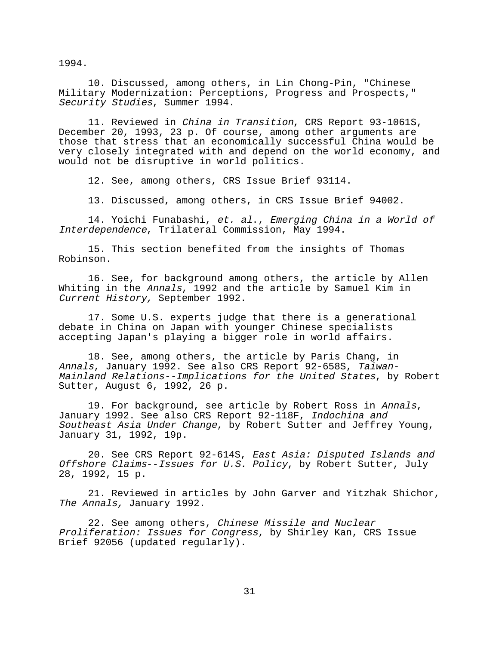1994.

10. Discussed, among others, in Lin Chong-Pin, "Chinese Military Modernization: Perceptions, Progress and Prospects," Security Studies, Summer 1994.

11. Reviewed in China in Transition, CRS Report 93-1061S, December 20, 1993, 23 p. Of course, among other arguments are those that stress that an economically successful China would be very closely integrated with and depend on the world economy, and would not be disruptive in world politics.

12. See, among others, CRS Issue Brief 93114.

13. Discussed, among others, in CRS Issue Brief 94002.

14. Yoichi Funabashi, et. al., Emerging China in a World of Interdependence, Trilateral Commission, May 1994.

15. This section benefited from the insights of Thomas Robinson.

16. See, for background among others, the article by Allen Whiting in the Annals, 1992 and the article by Samuel Kim in Current History, September 1992.

17. Some U.S. experts judge that there is a generational debate in China on Japan with younger Chinese specialists accepting Japan's playing a bigger role in world affairs.

18. See, among others, the article by Paris Chang, in Annals, January 1992. See also CRS Report 92-658S, Taiwan-Mainland Relations--Implications for the United States, by Robert Sutter, August 6, 1992, 26 p.

19. For background, see article by Robert Ross in Annals, January 1992. See also CRS Report 92-118F, Indochina and Southeast Asia Under Change, by Robert Sutter and Jeffrey Young, January 31, 1992, 19p.

20. See CRS Report 92-614S, East Asia: Disputed Islands and Offshore Claims--Issues for U.S. Policy, by Robert Sutter, July 28, 1992, 15 p.

21. Reviewed in articles by John Garver and Yitzhak Shichor, The Annals, January 1992.

22. See among others, Chinese Missile and Nuclear Proliferation: Issues for Congress, by Shirley Kan, CRS Issue Brief 92056 (updated regularly).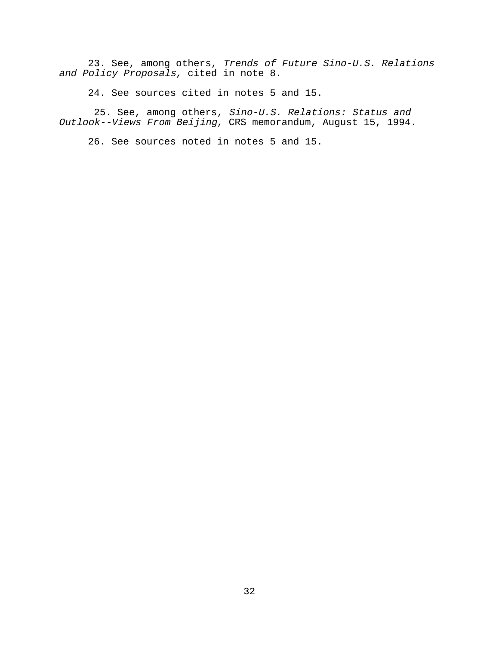23. See, among others, Trends of Future Sino-U.S. Relations and Policy Proposals, cited in note 8.

24. See sources cited in notes 5 and 15.

25. See, among others, Sino-U.S. Relations: Status and Outlook--Views From Beijing, CRS memorandum, August 15, 1994.

26. See sources noted in notes 5 and 15.